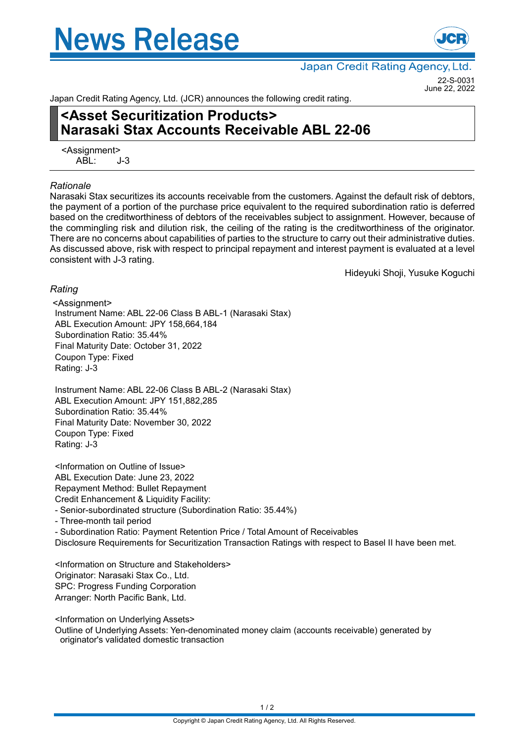# **News Release**



Japan Credit Rating Agency, Ltd.

22-S-0031 June 22, 2022

Japan Credit Rating Agency, Ltd. (JCR) announces the following credit rating.

## **<Asset Securitization Products> Narasaki Stax Accounts Receivable ABL 22-06**

<Assignment>  $ABI: J-3$ 

#### *Rationale*

Narasaki Stax securitizes its accounts receivable from the customers. Against the default risk of debtors, the payment of a portion of the purchase price equivalent to the required subordination ratio is deferred based on the creditworthiness of debtors of the receivables subject to assignment. However, because of the commingling risk and dilution risk, the ceiling of the rating is the creditworthiness of the originator. There are no concerns about capabilities of parties to the structure to carry out their administrative duties. As discussed above, risk with respect to principal repayment and interest payment is evaluated at a level consistent with J-3 rating.

Hideyuki Shoji, Yusuke Koguchi

### *Rating*

<Assignment> Instrument Name: ABL 22-06 Class B ABL-1 (Narasaki Stax) ABL Execution Amount: JPY 158,664,184 Subordination Ratio: 35.44% Final Maturity Date: October 31, 2022 Coupon Type: Fixed Rating: J-3

Instrument Name: ABL 22-06 Class B ABL-2 (Narasaki Stax) ABL Execution Amount: JPY 151,882,285 Subordination Ratio: 35.44% Final Maturity Date: November 30, 2022 Coupon Type: Fixed Rating: J-3

<Information on Outline of Issue> ABL Execution Date: June 23, 2022 Repayment Method: Bullet Repayment Credit Enhancement & Liquidity Facility:

- Senior-subordinated structure (Subordination Ratio: 35.44%)

- Three-month tail period

- Subordination Ratio: Payment Retention Price / Total Amount of Receivables Disclosure Requirements for Securitization Transaction Ratings with respect to Basel II have been met.

<Information on Structure and Stakeholders> Originator: Narasaki Stax Co., Ltd. SPC: Progress Funding Corporation Arranger: North Pacific Bank, Ltd.

<Information on Underlying Assets>

Outline of Underlying Assets: Yen-denominated money claim (accounts receivable) generated by originator's validated domestic transaction